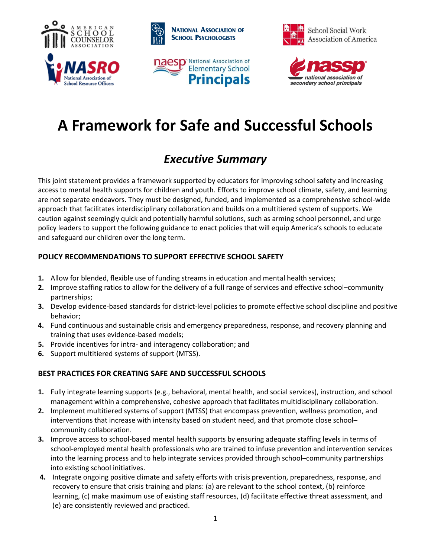







# **A Framework for Safe and Successful Schools**

# *Executive Summary*

This joint statement provides a framework supported by educators for improving school safety and increasing access to mental health supports for children and youth. Efforts to improve school climate, safety, and learning are not separate endeavors. They must be designed, funded, and implemented as a comprehensive school-wide approach that facilitates interdisciplinary collaboration and builds on a multitiered system of supports. We caution against seemingly quick and potentially harmful solutions, such as arming school personnel, and urge policy leaders to support the following guidance to enact policies that will equip America's schools to educate and safeguard our children over the long term.

# **POLICY RECOMMENDATIONS TO SUPPORT EFFECTIVE SCHOOL SAFETY**

- **1.** Allow for blended, flexible use of funding streams in education and mental health services;
- **2.** Improve staffing ratios to allow for the delivery of a full range of services and effective school–community partnerships;
- **3.** Develop evidence-based standards for district-level policies to promote effective school discipline and positive behavior;
- **4.** Fund continuous and sustainable crisis and emergency preparedness, response, and recovery planning and training that uses evidence-based models;
- **5.** Provide incentives for intra- and interagency collaboration; and
- **6.** Support multitiered systems of support (MTSS).

# **BEST PRACTICES FOR CREATING SAFE AND SUCCESSFUL SCHOOLS**

- **1.** Fully integrate learning supports (e.g., behavioral, mental health, and social services), instruction, and school management within a comprehensive, cohesive approach that facilitates multidisciplinary collaboration.
- **2.** Implement multitiered systems of support (MTSS) that encompass prevention, wellness promotion, and interventions that increase with intensity based on student need, and that promote close school– community collaboration.
- **3.** Improve access to school-based mental health supports by ensuring adequate staffing levels in terms of school-employed mental health professionals who are trained to infuse prevention and intervention services into the learning process and to help integrate services provided through school–community partnerships into existing school initiatives.
- **4.** Integrate ongoing positive climate and safety efforts with crisis prevention, preparedness, response, and recovery to ensure that crisis training and plans: (a) are relevant to the school context, (b) reinforce learning, (c) make maximum use of existing staff resources, (d) facilitate effective threat assessment, and (e) are consistently reviewed and practiced.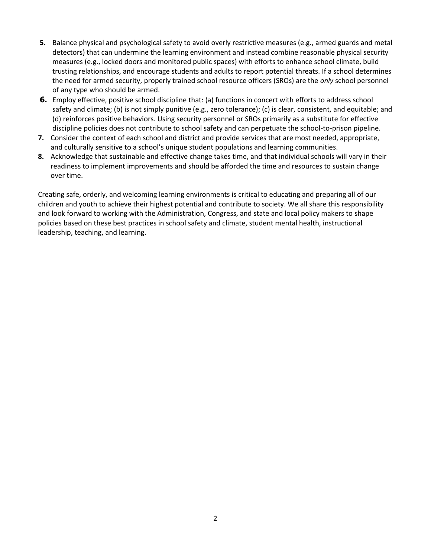- **5.** Balance physical and psychological safety to avoid overly restrictive measures (e.g., armed guards and metal detectors) that can undermine the learning environment and instead combine reasonable physical security measures (e.g., locked doors and monitored public spaces) with efforts to enhance school climate, build trusting relationships, and encourage students and adults to report potential threats. If a school determines the need for armed security, properly trained school resource officers (SROs) are the *only* school personnel of any type who should be armed.
- **6.** Employ effective, positive school discipline that: (a) functions in concert with efforts to address school safety and climate; (b) is not simply punitive (e.g., zero tolerance); (c) is clear, consistent, and equitable; and (d) reinforces positive behaviors. Using security personnel or SROs primarily as a substitute for effective discipline policies does not contribute to school safety and can perpetuate the school-to-prison pipeline.
- **7.** Consider the context of each school and district and provide services that are most needed, appropriate, and culturally sensitive to a school's unique student populations and learning communities.
- **8.** Acknowledge that sustainable and effective change takes time, and that individual schools will vary in their readiness to implement improvements and should be afforded the time and resources to sustain change over time.

Creating safe, orderly, and welcoming learning environments is critical to educating and preparing all of our children and youth to achieve their highest potential and contribute to society. We all share this responsibility and look forward to working with the Administration, Congress, and state and local policy makers to shape policies based on these best practices in school safety and climate, student mental health, instructional leadership, teaching, and learning.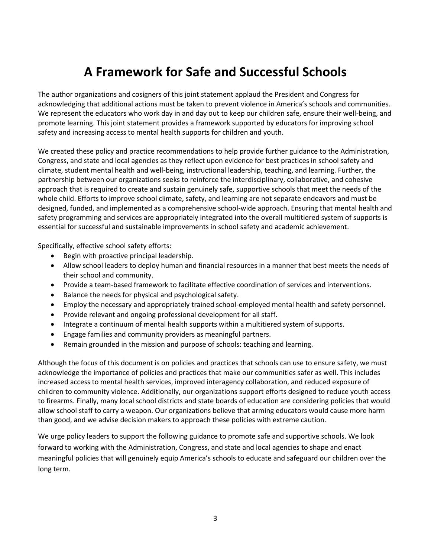# **A Framework for Safe and Successful Schools**

The author organizations and cosigners of this joint statement applaud the President and Congress for acknowledging that additional actions must be taken to prevent violence in America's schools and communities. We represent the educators who work day in and day out to keep our children safe, ensure their well-being, and promote learning. This joint statement provides a framework supported by educators for improving school safety and increasing access to mental health supports for children and youth.

We created these policy and practice recommendations to help provide further guidance to the Administration, Congress, and state and local agencies as they reflect upon evidence for best practices in school safety and climate, student mental health and well-being, instructional leadership, teaching, and learning. Further, the partnership between our organizations seeks to reinforce the interdisciplinary, collaborative, and cohesive approach that is required to create and sustain genuinely safe, supportive schools that meet the needs of the whole child. Efforts to improve school climate, safety, and learning are not separate endeavors and must be designed, funded, and implemented as a comprehensive school-wide approach. Ensuring that mental health and safety programming and services are appropriately integrated into the overall multitiered system of supports is essential for successful and sustainable improvements in school safety and academic achievement.

Specifically, effective school safety efforts:

- Begin with proactive principal leadership.
- Allow school leaders to deploy human and financial resources in a manner that best meets the needs of their school and community.
- Provide a team-based framework to facilitate effective coordination of services and interventions.
- Balance the needs for physical and psychological safety.
- Employ the necessary and appropriately trained school-employed mental health and safety personnel.
- Provide relevant and ongoing professional development for all staff.
- Integrate a continuum of mental health supports within a multitiered system of supports.
- Engage families and community providers as meaningful partners.
- Remain grounded in the mission and purpose of schools: teaching and learning.

Although the focus of this document is on policies and practices that schools can use to ensure safety, we must acknowledge the importance of policies and practices that make our communities safer as well. This includes increased access to mental health services, improved interagency collaboration, and reduced exposure of children to community violence. Additionally, our organizations support efforts designed to reduce youth access to firearms. Finally, many local school districts and state boards of education are considering policies that would allow school staff to carry a weapon. Our organizations believe that arming educators would cause more harm than good, and we advise decision makers to approach these policies with extreme caution.

We urge policy leaders to support the following guidance to promote safe and supportive schools. We look forward to working with the Administration, Congress, and state and local agencies to shape and enact meaningful policies that will genuinely equip America's schools to educate and safeguard our children over the long term.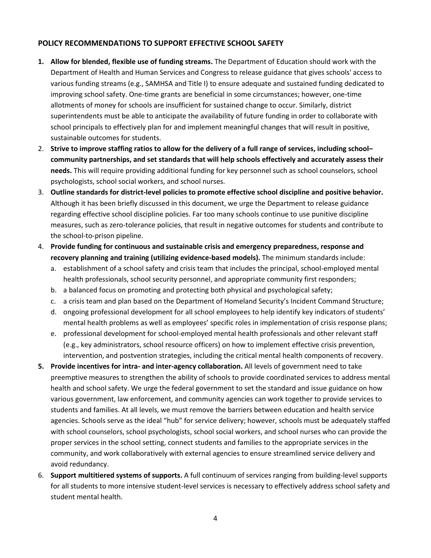# **POLICY RECOMMENDATIONS TO SUPPORT EFFECTIVE SCHOOL SAFETY**

- **1. Allow for blended, flexible use of funding streams.** The Department of Education should work with the Department of Health and Human Services and Congress to release guidance that gives schools' access to various funding streams (e.g., SAMHSA and Title I) to ensure adequate and sustained funding dedicated to improving school safety. One-time grants are beneficial in some circumstances; however, one-time allotments of money for schools are insufficient for sustained change to occur. Similarly, district superintendents must be able to anticipate the availability of future funding in order to collaborate with school principals to effectively plan for and implement meaningful changes that will result in positive, sustainable outcomes for students.
- 2. **Strive to improve staffing ratios to allow for the delivery of a full range of services, including school– community partnerships, and set standards that will help schools effectively and accurately assess their needs.** This will require providing additional funding for key personnel such as school counselors, school psychologists, school social workers, and school nurses.
- 3. **Outline standards for district-level policies to promote effective school discipline and positive behavior.**  Although it has been briefly discussed in this document, we urge the Department to release guidance regarding effective school discipline policies. Far too many schools continue to use punitive discipline measures, such as zero-tolerance policies, that result in negative outcomes for students and contribute to the school-to-prison pipeline.
- 4. **Provide funding for continuous and sustainable crisis and emergency preparedness, response and recovery planning and training (utilizing evidence-based models).** The minimum standards include:
	- a. establishment of a school safety and crisis team that includes the principal, school-employed mental health professionals, school security personnel, and appropriate community first responders;
	- b. a balanced focus on promoting and protecting both physical and psychological safety;
	- c. a crisis team and plan based on the Department of Homeland Security's Incident Command Structure;
	- d. ongoing professional development for all school employees to help identify key indicators of students' mental health problems as well as employees' specific roles in implementation of crisis response plans;
	- e. professional development for school-employed mental health professionals and other relevant staff (e.g., key administrators, school resource officers) on how to implement effective crisis prevention, intervention, and postvention strategies, including the critical mental health components of recovery.
- **5. Provide incentives for intra- and inter-agency collaboration.** All levels of government need to take preemptive measures to strengthen the ability of schools to provide coordinated services to address mental health and school safety. We urge the federal government to set the standard and issue guidance on how various government, law enforcement, and community agencies can work together to provide services to students and families. At all levels, we must remove the barriers between education and health service agencies. Schools serve as the ideal "hub" for service delivery; however, schools must be adequately staffed with school counselors, school psychologists, school social workers, and school nurses who can provide the proper services in the school setting, connect students and families to the appropriate services in the community, and work collaboratively with external agencies to ensure streamlined service delivery and avoid redundancy.
- 6. **Support multitiered systems of supports.** A full continuum of services ranging from building-level supports for all students to more intensive student-level services is necessary to effectively address school safety and student mental health.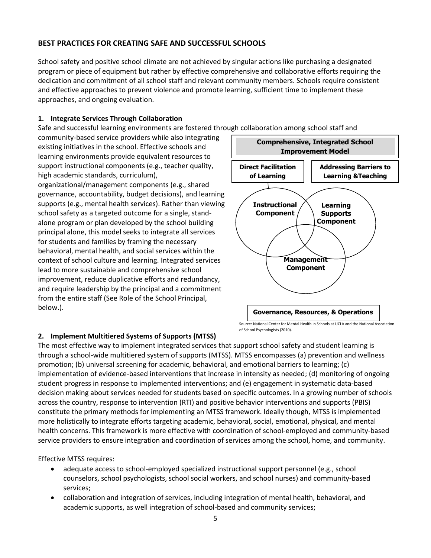# **BEST PRACTICES FOR CREATING SAFE AND SUCCESSFUL SCHOOLS**

School safety and positive school climate are not achieved by singular actions like purchasing a designated program or piece of equipment but rather by effective comprehensive and collaborative efforts requiring the dedication and commitment of all school staff and relevant community members. Schools require consistent and effective approaches to prevent violence and promote learning, sufficient time to implement these approaches, and ongoing evaluation.

### **1. Integrate Services Through Collaboration**

Safe and successful learning environments are fostered through collaboration among school staff and

community-based service providers while also integrating existing initiatives in the school. Effective schools and learning environments provide equivalent resources to support instructional components (e.g., teacher quality, high academic standards, curriculum),

organizational/management components (e.g., shared governance, accountability, budget decisions), and learning supports (e.g., mental health services). Rather than viewing school safety as a targeted outcome for a single, standalone program or plan developed by the school building principal alone, this model seeks to integrate all services for students and families by framing the necessary behavioral, mental health, and social services within the context of school culture and learning. Integrated services lead to more sustainable and comprehensive school improvement, reduce duplicative efforts and redundancy, and require leadership by the principal and a commitment from the entire staff (See Role of the School Principal, below.).



#### **2. Implement Multitiered Systems of Supports (MTSS)**

The most effective way to implement integrated services that support school safety and student learning is through a school-wide multitiered system of supports (MTSS). MTSS encompasses (a) prevention and wellness promotion; (b) universal screening for academic, behavioral, and emotional barriers to learning; (c) implementation of evidence-based interventions that increase in intensity as needed; (d) monitoring of ongoing student progress in response to implemented interventions; and (e) engagement in systematic data-based decision making about services needed for students based on specific outcomes. In a growing number of schools across the country, response to intervention (RTI) and positive behavior interventions and supports (PBIS) constitute the primary methods for implementing an MTSS framework. Ideally though, MTSS is implemented more holistically to integrate efforts targeting academic, behavioral, social, emotional, physical, and mental health concerns. This framework is more effective with coordination of school-employed and community-based service providers to ensure integration and coordination of services among the school, home, and community.

of School Psychologists (2010).

Effective MTSS requires:

- adequate access to school-employed specialized instructional support personnel (e.g., school counselors, school psychologists, school social workers, and school nurses) and community-based services;
- collaboration and integration of services, including integration of mental health, behavioral, and academic supports, as well integration of school-based and community services;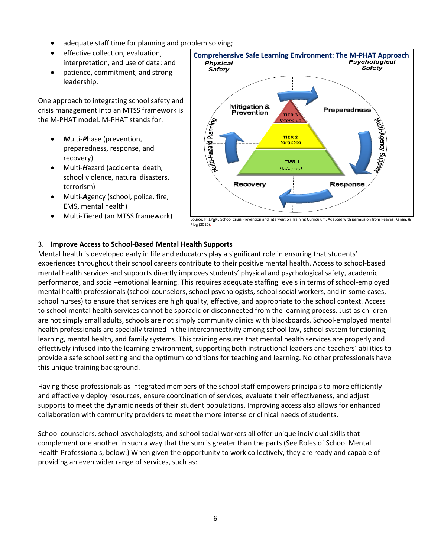- adequate staff time for planning and problem solving;
- **•** effective collection, evaluation, interpretation, and use of data; and
- patience, commitment, and strong leadership.

One approach to integrating school safety and crisis management into an MTSS framework is the M-PHAT model. M-PHAT stands for:

- *M*ulti-*P*hase (prevention, preparedness, response, and recovery)
- Multi-*H*azard (accidental death, school violence, natural disasters, terrorism)
- Multi-*A*gency (school, police, fire, EMS, mental health)
- Multi-*T*iered (an MTSS framework)



Plog (2010)

#### 3. **Improve Access to School-Based Mental Health Supports**

Mental health is developed early in life and educators play a significant role in ensuring that students' experiences throughout their school careers contribute to their positive mental health. Access to school-based mental health services and supports directly improves students' physical and psychological safety, academic performance, and social–emotional learning. This requires adequate staffing levels in terms of school-employed mental health professionals (school counselors, school psychologists, school social workers, and in some cases, school nurses) to ensure that services are high quality, effective, and appropriate to the school context. Access to school mental health services cannot be sporadic or disconnected from the learning process. Just as children are not simply small adults, schools are not simply community clinics with blackboards. School-employed mental health professionals are specially trained in the interconnectivity among school law, school system functioning, learning, mental health, and family systems. This training ensures that mental health services are properly and effectively infused into the learning environment, supporting both instructional leaders and teachers' abilities to provide a safe school setting and the optimum conditions for teaching and learning. No other professionals have this unique training background.

Having these professionals as integrated members of the school staff empowers principals to more efficiently and effectively deploy resources, ensure coordination of services, evaluate their effectiveness, and adjust supports to meet the dynamic needs of their student populations. Improving access also allows for enhanced collaboration with community providers to meet the more intense or clinical needs of students.

School counselors, school psychologists, and school social workers all offer unique individual skills that complement one another in such a way that the sum is greater than the parts (See Roles of School Mental Health Professionals, below.) When given the opportunity to work collectively, they are ready and capable of providing an even wider range of services, such as: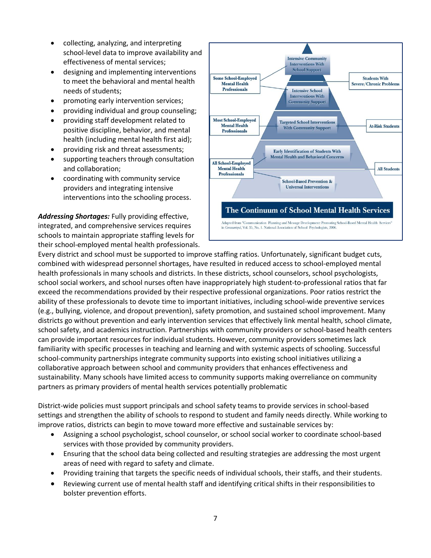- collecting, analyzing, and interpreting school-level data to improve availability and effectiveness of mental services;
- designing and implementing interventions to meet the behavioral and mental health needs of students;
- promoting early intervention services;
- providing individual and group counseling;
- providing staff development related to positive discipline, behavior, and mental health (including mental health first aid);
- providing risk and threat assessments;
- supporting teachers through consultation and collaboration;
- coordinating with community service providers and integrating intensive interventions into the schooling process.

*Addressing Shortages:* Fully providing effective, integrated, and comprehensive services requires schools to maintain appropriate staffing levels for their school-employed mental health professionals.



Every district and school must be supported to improve staffing ratios. Unfortunately, significant budget cuts, combined with widespread personnel shortages, have resulted in reduced access to school-employed mental health professionals in many schools and districts. In these districts, school counselors, school psychologists, school social workers, and school nurses often have inappropriately high student-to-professional ratios that far exceed the recommendations provided by their respective professional organizations. Poor ratios restrict the ability of these professionals to devote time to important initiatives, including school-wide preventive services (e.g., bullying, violence, and dropout prevention), safety promotion, and sustained school improvement. Many districts go without prevention and early intervention services that effectively link mental health, school climate, school safety, and academics instruction. Partnerships with community providers or school-based health centers can provide important resources for individual students. However, community providers sometimes lack familiarity with specific processes in teaching and learning and with systemic aspects of schooling. Successful school-community partnerships integrate community supports into existing school initiatives utilizing a collaborative approach between school and community providers that enhances effectiveness and sustainability. Many schools have limited access to community supports making overreliance on community partners as primary providers of mental health services potentially problematic

District-wide policies must support principals and school safety teams to provide services in school-based settings and strengthen the ability of schools to respond to student and family needs directly. While working to improve ratios, districts can begin to move toward more effective and sustainable services by:

- Assigning a school psychologist, school counselor, or school social worker to coordinate school-based services with those provided by community providers.
- Ensuring that the school data being collected and resulting strategies are addressing the most urgent areas of need with regard to safety and climate.
- Providing training that targets the specific needs of individual schools, their staffs, and their students.
- Reviewing current use of mental health staff and identifying critical shifts in their responsibilities to bolster prevention efforts.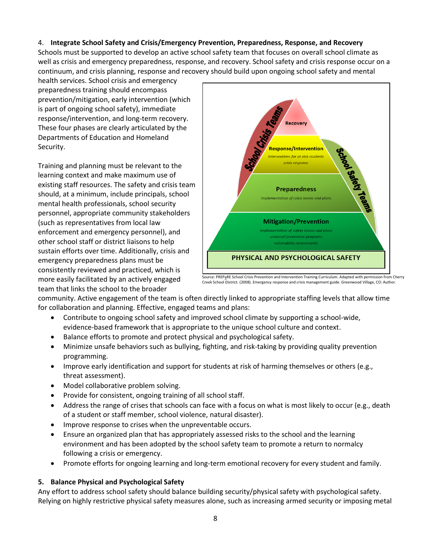# 4. **Integrate School Safety and Crisis/Emergency Prevention, Preparedness, Response, and Recovery**

Schools must be supported to develop an active school safety team that focuses on overall school climate as well as crisis and emergency preparedness, response, and recovery. School safety and crisis response occur on a continuum, and crisis planning, response and recovery should build upon ongoing school safety and mental

health services. School crisis and emergency preparedness training should encompass prevention/mitigation, early intervention (which is part of ongoing school safety), immediate response/intervention, and long-term recovery. These four phases are clearly articulated by the Departments of Education and Homeland Security.

Training and planning must be relevant to the learning context and make maximum use of existing staff resources. The safety and crisis team should, at a minimum, include principals, school mental health professionals, school security personnel, appropriate community stakeholders (such as representatives from local law enforcement and emergency personnel), and other school staff or district liaisons to help sustain efforts over time. Additionally, crisis and emergency preparedness plans must be consistently reviewed and practiced, which is more easily facilitated by an actively engaged team that links the school to the broader



Creek School District. (2008). Emergency response and crisis management guide. Greenwood Village, CO: Author.

community. Active engagement of the team is often directly linked to appropriate staffing levels that allow time for collaboration and planning. Effective, engaged teams and plans:

- Contribute to ongoing school safety and improved school climate by supporting a school-wide, evidence-based framework that is appropriate to the unique school culture and context.
- Balance efforts to promote and protect physical and psychological safety.
- Minimize unsafe behaviors such as bullying, fighting, and risk-taking by providing quality prevention programming.
- Improve early identification and support for students at risk of harming themselves or others (e.g., threat assessment).
- Model collaborative problem solving.
- Provide for consistent, ongoing training of all school staff.
- Address the range of crises that schools can face with a focus on what is most likely to occur (e.g., death of a student or staff member, school violence, natural disaster).
- Improve response to crises when the unpreventable occurs.
- Ensure an organized plan that has appropriately assessed risks to the school and the learning environment and has been adopted by the school safety team to promote a return to normalcy following a crisis or emergency.
- Promote efforts for ongoing learning and long-term emotional recovery for every student and family.

#### **5. Balance Physical and Psychological Safety**

Any effort to address school safety should balance building security/physical safety with psychological safety. Relying on highly restrictive physical safety measures alone, such as increasing armed security or imposing metal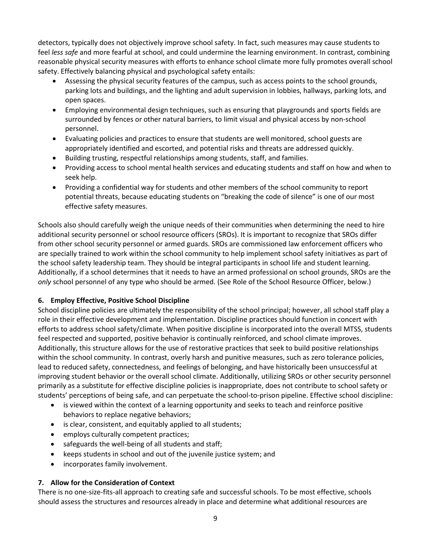detectors, typically does not objectively improve school safety. In fact, such measures may cause students to feel *less safe* and more fearful at school, and could undermine the learning environment. In contrast, combining reasonable physical security measures with efforts to enhance school climate more fully promotes overall school safety. Effectively balancing physical and psychological safety entails:

- Assessing the physical security features of the campus, such as access points to the school grounds, parking lots and buildings, and the lighting and adult supervision in lobbies, hallways, parking lots, and open spaces.
- Employing environmental design techniques, such as ensuring that playgrounds and sports fields are surrounded by fences or other natural barriers, to limit visual and physical access by non-school personnel.
- Evaluating policies and practices to ensure that students are well monitored, school guests are appropriately identified and escorted, and potential risks and threats are addressed quickly.
- Building trusting, respectful relationships among students, staff, and families.
- Providing access to school mental health services and educating students and staff on how and when to seek help.
- Providing a confidential way for students and other members of the school community to report potential threats, because educating students on "breaking the code of silence" is one of our most effective safety measures.

Schools also should carefully weigh the unique needs of their communities when determining the need to hire additional security personnel or school resource officers (SROs). It is important to recognize that SROs differ from other school security personnel or armed guards. SROs are commissioned law enforcement officers who are specially trained to work within the school community to help implement school safety initiatives as part of the school safety leadership team. They should be integral participants in school life and student learning. Additionally, if a school determines that it needs to have an armed professional on school grounds, SROs are the *only* school personnel of any type who should be armed. (See Role of the School Resource Officer, below.)

# **6. Employ Effective, Positive School Discipline**

School discipline policies are ultimately the responsibility of the school principal; however, all school staff play a role in their effective development and implementation. Discipline practices should function in concert with efforts to address school safety/climate. When positive discipline is incorporated into the overall MTSS, students feel respected and supported, positive behavior is continually reinforced, and school climate improves. Additionally, this structure allows for the use of restorative practices that seek to build positive relationships within the school community. In contrast, overly harsh and punitive measures, such as zero tolerance policies, lead to reduced safety, connectedness, and feelings of belonging, and have historically been unsuccessful at improving student behavior or the overall school climate. Additionally, utilizing SROs or other security personnel primarily as a substitute for effective discipline policies is inappropriate, does not contribute to school safety or students' perceptions of being safe, and can perpetuate the school-to-prison pipeline. Effective school discipline:

- is viewed within the context of a learning opportunity and seeks to teach and reinforce positive behaviors to replace negative behaviors;
- is clear, consistent, and equitably applied to all students;
- employs culturally competent practices;
- safeguards the well-being of all students and staff;
- keeps students in school and out of the juvenile justice system; and
- incorporates family involvement.

# **7. Allow for the Consideration of Context**

There is no one-size-fits-all approach to creating safe and successful schools. To be most effective, schools should assess the structures and resources already in place and determine what additional resources are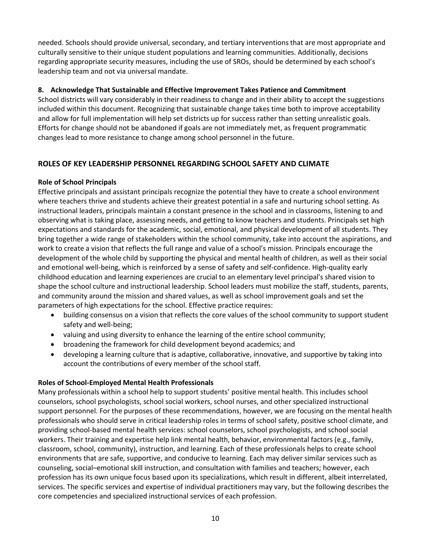needed. Schools should provide universal, secondary, and tertiary interventions that are most appropriate and culturally sensitive to their unique student populations and learning communities. Additionally, decisions regarding appropriate security measures, including the use of SROs, should be determined by each school's leadership team and not via universal mandate.

#### **8. Acknowledge That Sustainable and Effective Improvement Takes Patience and Commitment**

School districts will vary considerably in their readiness to change and in their ability to accept the suggestions included within this document. Recognizing that sustainable change takes time both to improve acceptability and allow for full implementation will help set districts up for success rather than setting unrealistic goals. Efforts for change should not be abandoned if goals are not immediately met, as frequent programmatic changes lead to more resistance to change among school personnel in the future.

#### **ROLES OF KEY LEADERSHIP PERSONNEL REGARDING SCHOOL SAFETY AND CLIMATE**

#### **Role of School Principals**

Effective principals and assistant principals recognize the potential they have to create a school environment where teachers thrive and students achieve their greatest potential in a safe and nurturing school setting. As instructional leaders, principals maintain a constant presence in the school and in classrooms, listening to and observing what is taking place, assessing needs, and getting to know teachers and students. Principals set high expectations and standards for the academic, social, emotional, and physical development of all students. They bring together a wide range of stakeholders within the school community, take into account the aspirations, and work to create a vision that reflects the full range and value of a school's mission. Principals encourage the development of the whole child by supporting the physical and mental health of children, as well as their social and emotional well-being, which is reinforced by a sense of safety and self-confidence. High-quality early childhood education and learning experiences are crucial to an elementary level principal's shared vision to shape the school culture and instructional leadership. School leaders must mobilize the staff, students, parents, and community around the mission and shared values, as well as school improvement goals and set the parameters of high expectations for the school. Effective practice requires:

- building consensus on a vision that reflects the core values of the school community to support student safety and well-being;
- valuing and using diversity to enhance the learning of the entire school community;
- broadening the framework for child development beyond academics; and
- developing a learning culture that is adaptive, collaborative, innovative, and supportive by taking into account the contributions of every member of the school staff.

#### **Roles of School-Employed Mental Health Professionals**

Many professionals within a school help to support students' positive mental health. This includes school counselors, school psychologists, school social workers, school nurses, and other specialized instructional support personnel. For the purposes of these recommendations, however, we are focusing on the mental health professionals who should serve in critical leadership roles in terms of school safety, positive school climate, and providing school-based mental health services: school counselors, school psychologists, and school social workers. Their training and expertise help link mental health, behavior, environmental factors (e.g., family, classroom, school, community), instruction, and learning. Each of these professionals helps to create school environments that are safe, supportive, and conducive to learning. Each may deliver similar services such as counseling, social–emotional skill instruction, and consultation with families and teachers; however, each profession has its own unique focus based upon its specializations, which result in different, albeit interrelated, services. The specific services and expertise of individual practitioners may vary, but the following describes the core competencies and specialized instructional services of each profession.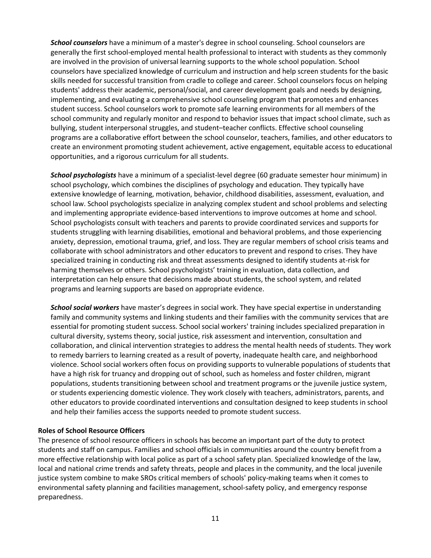*School counselors* have a minimum of a master's degree in school counseling. School counselors are generally the first school-employed mental health professional to interact with students as they commonly are involved in the provision of universal learning supports to the whole school population. School counselors have specialized knowledge of curriculum and instruction and help screen students for the basic skills needed for successful transition from cradle to college and career. School counselors focus on helping students' address their academic, personal/social, and career development goals and needs by designing, implementing, and evaluating a comprehensive school counseling program that promotes and enhances student success. School counselors work to promote safe learning environments for all members of the school community and regularly monitor and respond to behavior issues that impact school climate, such as bullying, student interpersonal struggles, and student–teacher conflicts. Effective school counseling programs are a collaborative effort between the school counselor, teachers, families, and other educators to create an environment promoting student achievement, active engagement, equitable access to educational opportunities, and a rigorous curriculum for all students.

*School psychologists* have a minimum of a specialist-level degree (60 graduate semester hour minimum) in school psychology, which combines the disciplines of psychology and education. They typically have extensive knowledge of learning, motivation, behavior, childhood disabilities, assessment, evaluation, and school law. School psychologists specialize in analyzing complex student and school problems and selecting and implementing appropriate evidence-based interventions to improve outcomes at home and school. School psychologists consult with teachers and parents to provide coordinated services and supports for students struggling with learning disabilities, emotional and behavioral problems, and those experiencing anxiety, depression, emotional trauma, grief, and loss. They are regular members of school crisis teams and collaborate with school administrators and other educators to prevent and respond to crises. They have specialized training in conducting risk and threat assessments designed to identify students at-risk for harming themselves or others. School psychologists' training in evaluation, data collection, and interpretation can help ensure that decisions made about students, the school system, and related programs and learning supports are based on appropriate evidence.

*School social workers* have master's degrees in social work. They have special expertise in understanding family and community systems and linking students and their families with the community services that are essential for promoting student success. School social workers' training includes specialized preparation in cultural diversity, systems theory, social justice, risk assessment and intervention, consultation and collaboration, and clinical intervention strategies to address the mental health needs of students. They work to remedy barriers to learning created as a result of poverty, inadequate health care, and neighborhood violence. School social workers often focus on providing supports to vulnerable populations of students that have a high risk for truancy and dropping out of school, such as homeless and foster children, migrant populations, students transitioning between school and treatment programs or the juvenile justice system, or students experiencing domestic violence. They work closely with teachers, administrators, parents, and other educators to provide coordinated interventions and consultation designed to keep students in school and help their families access the supports needed to promote student success.

#### **Roles of School Resource Officers**

The presence of school resource officers in schools has become an important part of the duty to protect students and staff on campus. Families and school officials in communities around the country benefit from a more effective relationship with local police as part of a school safety plan. Specialized knowledge of the law, local and national crime trends and safety threats, people and places in the community, and the local juvenile justice system combine to make SROs critical members of schools' policy-making teams when it comes to environmental safety planning and facilities management, school-safety policy, and emergency response preparedness.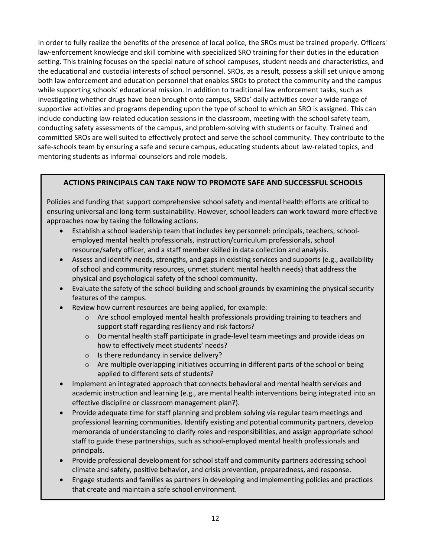In order to fully realize the benefits of the presence of local police, the SROs must be trained properly. Officers' law-enforcement knowledge and skill combine with specialized SRO training for their duties in the education setting. This training focuses on the special nature of school campuses, student needs and characteristics, and the educational and custodial interests of school personnel. SROs, as a result, possess a skill set unique among both law enforcement and education personnel that enables SROs to protect the community and the campus while supporting schools' educational mission. In addition to traditional law enforcement tasks, such as investigating whether drugs have been brought onto campus, SROs' daily activities cover a wide range of supportive activities and programs depending upon the type of school to which an SRO is assigned. This can include conducting law-related education sessions in the classroom, meeting with the school safety team, conducting safety assessments of the campus, and problem-solving with students or faculty. Trained and committed SROs are well suited to effectively protect and serve the school community. They contribute to the safe-schools team by ensuring a safe and secure campus, educating students about law-related topics, and mentoring students as informal counselors and role models.

# **ACTIONS PRINCIPALS CAN TAKE NOW TO PROMOTE SAFE AND SUCCESSFUL SCHOOLS**

Policies and funding that support comprehensive school safety and mental health efforts are critical to ensuring universal and long-term sustainability. However, school leaders can work toward more effective approaches now by taking the following actions.

- Establish a school leadership team that includes key personnel: principals, teachers, schoolemployed mental health professionals, instruction/curriculum professionals, school resource/safety officer, and a staff member skilled in data collection and analysis.
- Assess and identify needs, strengths, and gaps in existing services and supports (e.g., availability of school and community resources, unmet student mental health needs) that address the physical and psychological safety of the school community.
- Evaluate the safety of the school building and school grounds by examining the physical security features of the campus.
- Review how current resources are being applied, for example:
	- $\circ$  Are school employed mental health professionals providing training to teachers and support staff regarding resiliency and risk factors?
	- o Do mental health staff participate in grade-level team meetings and provide ideas on how to effectively meet students' needs?
	- o Is there redundancy in service delivery?
	- $\circ$  Are multiple overlapping initiatives occurring in different parts of the school or being applied to different sets of students?
- Implement an integrated approach that connects behavioral and mental health services and academic instruction and learning (e.g., are mental health interventions being integrated into an effective discipline or classroom management plan?).
- Provide adequate time for staff planning and problem solving via regular team meetings and professional learning communities. Identify existing and potential community partners, develop memoranda of understanding to clarify roles and responsibilities, and assign appropriate school staff to guide these partnerships, such as school-employed mental health professionals and principals.
- Provide professional development for school staff and community partners addressing school climate and safety, positive behavior, and crisis prevention, preparedness, and response.
- Engage students and families as partners in developing and implementing policies and practices that create and maintain a safe school environment.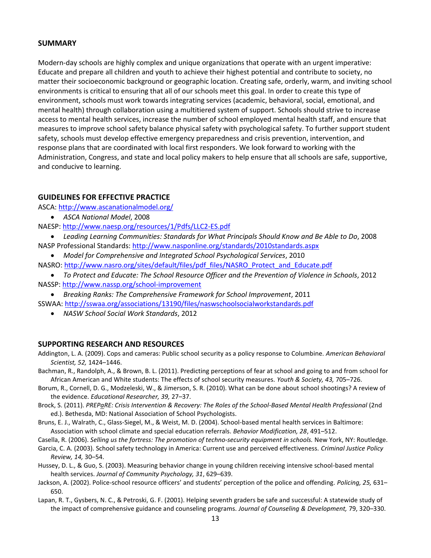#### **SUMMARY**

Modern-day schools are highly complex and unique organizations that operate with an urgent imperative: Educate and prepare all children and youth to achieve their highest potential and contribute to society, no matter their socioeconomic background or geographic location. Creating safe, orderly, warm, and inviting school environments is critical to ensuring that all of our schools meet this goal. In order to create this type of environment, schools must work towards integrating services (academic, behavioral, social, emotional, and mental health) through collaboration using a multitiered system of support. Schools should strive to increase access to mental health services, increase the number of school employed mental health staff, and ensure that measures to improve school safety balance physical safety with psychological safety. To further support student safety, schools must develop effective emergency preparedness and crisis prevention, intervention, and response plans that are coordinated with local first responders. We look forward to working with the Administration, Congress, and state and local policy makers to help ensure that all schools are safe, supportive, and conducive to learning.

#### **GUIDELINES FOR EFFECTIVE PRACTICE**

ASCA: <http://www.ascanationalmodel.org/>

*ASCA National Model*, 2008

NAESP: <http://www.naesp.org/resources/1/Pdfs/LLC2-ES.pdf>

- *Leading Learning Communities: Standards for What Principals Should Know and Be Able to Do*, 2008 NASP Professional Standards: <http://www.nasponline.org/standards/2010standards.aspx>
- *Model for Comprehensive and Integrated School Psychological Services*, 2010
- NASRO: [http://www.nasro.org/sites/default/files/pdf\\_files/NASRO\\_Protect\\_and\\_Educate.pdf](http://www.nasro.org/sites/default/files/pdf_files/NASRO_Protect_and_Educate.pdf)
- *To Protect and Educate: The School Resource Officer and the Prevention of Violence in Schools*, 2012 NASSP[: http://www.nassp.org/school-improvement](http://www.nassp.org/school-improvement)
- *Breaking Ranks: The Comprehensive Framework for School Improvement*, 2011 SSWAA: <http://sswaa.org/associations/13190/files/naswschoolsocialworkstandards.pdf>
	- *NASW School Social Work Standards*, 2012

#### **SUPPORTING RESEARCH AND RESOURCES**

- Addington, L. A. (2009). Cops and cameras: Public school security as a policy response to Columbine. *American Behavioral Scientist, 52,* 1424–1446.
- Bachman, R., Randolph, A., & Brown, B. L. (2011). Predicting perceptions of fear at school and going to and from school for African American and White students: The effects of school security measures. *Youth & Society, 43,* 705–726.
- Borum, R., Cornell, D. G., Modzeleski, W., & Jimerson, S. R. (2010). What can be done about school shootings? A review of the evidence. *Educational Researcher, 39,* 27–37.
- Brock, S. (2011). *PREPaRE: Crisis Intervention & Recovery: The Roles of the School-Based Mental Health Professional* (2nd ed.). Bethesda, MD: National Association of School Psychologists.
- Bruns, E. J., Walrath, C., Glass-Siegel, M., & Weist, M. D. (2004). School-based mental health services in Baltimore: Association with school climate and special education referrals. *Behavior Modification, 28*, 491–512.

Casella, R. (2006). *Selling us the fortress: The promotion of techno-security equipment in schools*. New York, NY: Routledge.

- Garcia, C. A. (2003). School safety technology in America: Current use and perceived effectiveness. *Criminal Justice Policy Review, 14,* 30–54.
- Hussey, D. L., & Guo, S. (2003). Measuring behavior change in young children receiving intensive school-based mental health services. *Journal of Community Psychology, 31*, 629–639.
- Jackson, A. (2002). Police-school resource officers' and students' perception of the police and offending. *Policing, 25,* 631– 650.
- Lapan, R. T., Gysbers, N. C., & Petroski, G. F. (2001). Helping seventh graders be safe and successful: A statewide study of the impact of comprehensive guidance and counseling programs. *Journal of Counseling & Development,* 79, 320–330.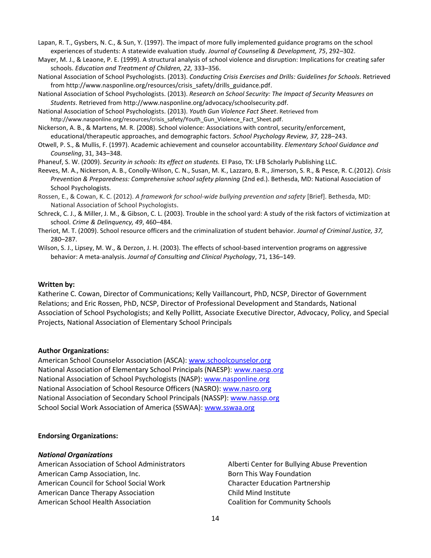Lapan, R. T., Gysbers, N. C., & Sun, Y. (1997). The impact of more fully implemented guidance programs on the school experiences of students: A statewide evaluation study. *Journal of Counseling & Development, 75*, 292–302.

- Mayer, M. J., & Leaone, P. E. (1999). A structural analysis of school violence and disruption: Implications for creating safer schools. *Education and Treatment of Children, 22,* 333–356.
- National Association of School Psychologists. (2013). *Conducting Crisis Exercises and Drills: Guidelines for Schools*. Retrieved from http://www.nasponline.org/resources/crisis\_safety/drills\_guidance.pdf.
- National Association of School Psychologists. (2013). *Research on School Security: The Impact of Security Measures on Students*. Retrieved from http://www.nasponline.org/advocacy/schoolsecurity.pdf.

National Association of School Psychologists. (2013). *Youth Gun Violence Fact Sheet*. Retrieved from http://www.nasponline.org/resources/crisis\_safety/Youth\_Gun\_Violence\_Fact\_Sheet.pdf.

Nickerson, A. B., & Martens, M. R. (2008). School violence: Associations with control, security/enforcement, educational/therapeutic approaches, and demographic factors. *School Psychology Review, 37,* 228–243.

Otwell, P. S., & Mullis, F. (1997). Academic achievement and counselor accountability. *Elementary School Guidance and Counseling*, 31, 343–348.

Phaneuf, S. W. (2009). *Security in schools: Its effect on students.* El Paso, TX: LFB Scholarly Publishing LLC.

- Reeves, M. A., Nickerson, A. B., Conolly-Wilson, C. N., Susan, M. K., Lazzaro, B. R., Jimerson, S. R., & Pesce, R. C.(2012). *Crisis Prevention & Preparedness: Comprehensive school safety planning* (2nd ed.). Bethesda, MD: National Association of School Psychologists.
- Rossen, E., & Cowan, K. C. (2012). *A framework for school-wide bullying prevention and safety* [Brief]. Bethesda, MD: National Association of School Psychologists.
- Schreck, C. J., & Miller, J. M., & Gibson, C. L. (2003). Trouble in the school yard: A study of the risk factors of victimization at school. *Crime & Delinquency, 49*, 460–484.
- Theriot, M. T. (2009). School resource officers and the criminalization of student behavior. *Journal of Criminal Justice, 37,*  280–287.
- Wilson, S. J., Lipsey, M. W., & Derzon, J. H. (2003). The effects of school-based intervention programs on aggressive behavior: A meta-analysis. *Journal of Consulting and Clinical Psychology*, 71, 136–149.

#### **Written by:**

Katherine C. Cowan, Director of Communications; Kelly Vaillancourt, PhD, NCSP, Director of Government Relations; and Eric Rossen, PhD, NCSP, Director of Professional Development and Standards, National Association of School Psychologists; and Kelly Pollitt, Associate Executive Director, Advocacy, Policy, and Special Projects, National Association of Elementary School Principals

#### **Author Organizations:**

American School Counselor Association (ASCA): [www.schoolcounselor.org](http://www.schoolcounselor.org/) National Association of Elementary School Principals (NAESP): [www.naesp.org](http://www.naesp.org/) National Association of School Psychologists (NASP): [www.nasponline.org](http://www.nasponline.org/) National Association of School Resource Officers (NASRO): [www.nasro.org](http://www.nasro.org/) National Association of Secondary School Principals (NASSP): [www.nassp.org](http://www.nassp.org/) School Social Work Association of America (SSWAA): [www.sswaa.org](http://www.sswaa.org/)

#### **Endorsing Organizations:**

#### *National Organizations*

American Association of School Administrators American Camp Association, Inc. American Council for School Social Work American Dance Therapy Association American School Health Association

Alberti Center for Bullying Abuse Prevention Born This Way Foundation Character Education Partnership Child Mind Institute Coalition for Community Schools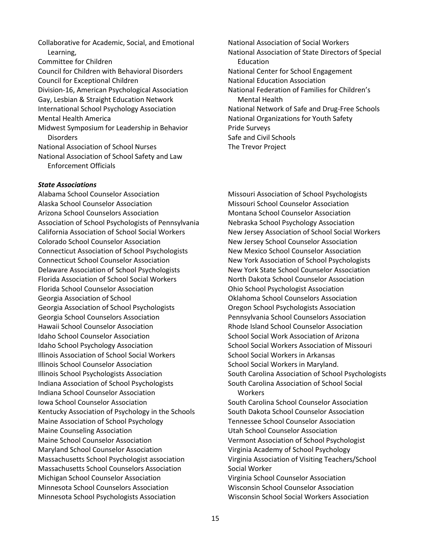Collaborative for Academic, Social, and Emotional Learning, Committee for Children Council for Children with Behavioral Disorders Council for Exceptional Children Division-16, American Psychological Association Gay, Lesbian & Straight Education Network International School Psychology Association Mental Health America Midwest Symposium for Leadership in Behavior **Disorders** National Association of School Nurses National Association of School Safety and Law Enforcement Officials

#### *State Associations*

Alabama School Counselor Association Alaska School Counselor Association Arizona School Counselors Association Association of School Psychologists of Pennsylvania California Association of School Social Workers Colorado School Counselor Association Connecticut Association of School Psychologists Connecticut School Counselor Association Delaware Association of School Psychologists Florida Association of School Social Workers Florida School Counselor Association Georgia Association of School Georgia Association of School Psychologists Georgia School Counselors Association Hawaii School Counselor Association Idaho School Counselor Association Idaho School Psychology Association Illinois Association of School Social Workers Illinois School Counselor Association Illinois School Psychologists Association Indiana Association of School Psychologists Indiana School Counselor Association Iowa School Counselor Association Kentucky Association of Psychology in the Schools Maine Association of School Psychology Maine Counseling Association Maine School Counselor Association Maryland School Counselor Association Massachusetts School Psychologist association Massachusetts School Counselors Association Michigan School Counselor Association Minnesota School Counselors Association Minnesota School Psychologists Association

National Association of Social Workers National Association of State Directors of Special Education National Center for School Engagement National Education Association National Federation of Families for Children's Mental Health National Network of Safe and Drug-Free Schools National Organizations for Youth Safety Pride Surveys Safe and Civil Schools The Trevor Project

Missouri Association of School Psychologists Missouri School Counselor Association Montana School Counselor Association Nebraska School Psychology Association New Jersey Association of School Social Workers New Jersey School Counselor Association New Mexico School Counselor Association New York Association of School Psychologists New York State School Counselor Association North Dakota School Counselor Association Ohio School Psychologist Association Oklahoma School Counselors Association Oregon School Psychologists Association Pennsylvania School Counselors Association Rhode Island School Counselor Association School Social Work Association of Arizona School Social Workers Association of Missouri School Social Workers in Arkansas School Social Workers in Maryland. South Carolina Association of School Psychologists South Carolina Association of School Social **Workers** 

South Carolina School Counselor Association South Dakota School Counselor Association Tennessee School Counselor Association Utah School Counselor Association Vermont Association of School Psychologist Virginia Academy of School Psychology Virginia Association of Visiting Teachers/School Social Worker Virginia School Counselor Association

Wisconsin School Counselor Association Wisconsin School Social Workers Association